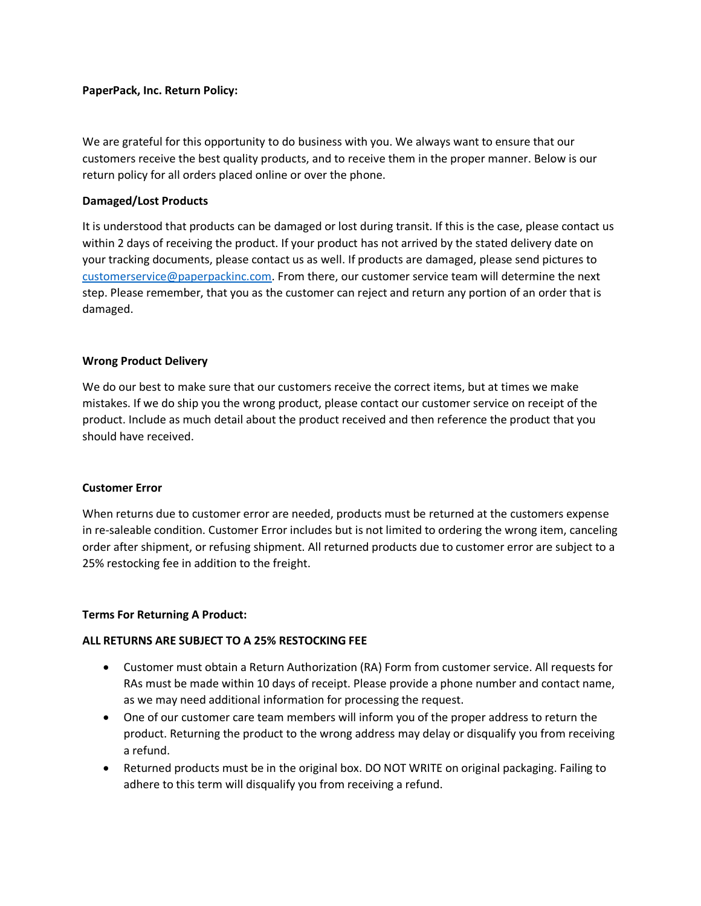# **PaperPack, Inc. Return Policy:**

We are grateful for this opportunity to do business with you. We always want to ensure that our customers receive the best quality products, and to receive them in the proper manner. Below is our return policy for all orders placed online or over the phone.

## **Damaged/Lost Products**

It is understood that products can be damaged or lost during transit. If this is the case, please contact us within 2 days of receiving the product. If your product has not arrived by the stated delivery date on your tracking documents, please contact us as well. If products are damaged, please send pictures to [customerservice@paperpackinc.com.](mailto:customerservice@paperpackinc.com) From there, our customer service team will determine the next step. Please remember, that you as the customer can reject and return any portion of an order that is damaged.

## **Wrong Product Delivery**

We do our best to make sure that our customers receive the correct items, but at times we make mistakes. If we do ship you the wrong product, please contact our customer service on receipt of the product. Include as much detail about the product received and then reference the product that you should have received.

### **Customer Error**

When returns due to customer error are needed, products must be returned at the customers expense in re-saleable condition. Customer Error includes but is not limited to ordering the wrong item, canceling order after shipment, or refusing shipment. All returned products due to customer error are subject to a 25% restocking fee in addition to the freight.

### **Terms For Returning A Product:**

# **ALL RETURNS ARE SUBJECT TO A 25% RESTOCKING FEE**

- Customer must obtain a Return Authorization (RA) Form from customer service. All requests for RAs must be made within 10 days of receipt. Please provide a phone number and contact name, as we may need additional information for processing the request.
- One of our customer care team members will inform you of the proper address to return the product. Returning the product to the wrong address may delay or disqualify you from receiving a refund.
- Returned products must be in the original box. DO NOT WRITE on original packaging. Failing to adhere to this term will disqualify you from receiving a refund.